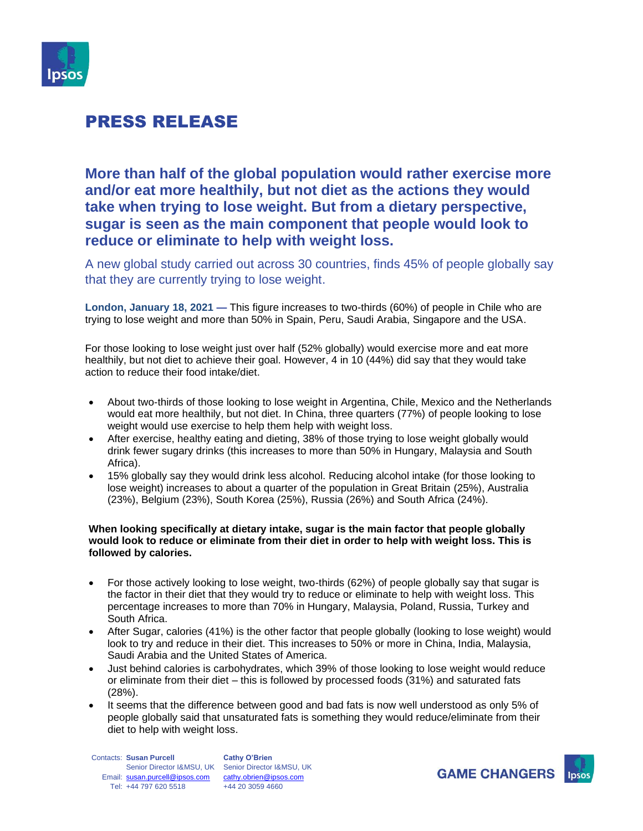

## PRESS RELEASE

**More than half of the global population would rather exercise more and/or eat more healthily, but not diet as the actions they would take when trying to lose weight. But from a dietary perspective, sugar is seen as the main component that people would look to reduce or eliminate to help with weight loss.**

A new global study carried out across 30 countries, finds 45% of people globally say that they are currently trying to lose weight.

**London, January 18, 2021 —** This figure increases to two-thirds (60%) of people in Chile who are trying to lose weight and more than 50% in Spain, Peru, Saudi Arabia, Singapore and the USA.

For those looking to lose weight just over half (52% globally) would exercise more and eat more healthily, but not diet to achieve their goal. However, 4 in 10 (44%) did say that they would take action to reduce their food intake/diet.

- About two-thirds of those looking to lose weight in Argentina, Chile, Mexico and the Netherlands would eat more healthily, but not diet. In China, three quarters (77%) of people looking to lose weight would use exercise to help them help with weight loss.
- After exercise, healthy eating and dieting, 38% of those trying to lose weight globally would drink fewer sugary drinks (this increases to more than 50% in Hungary, Malaysia and South Africa).
- 15% globally say they would drink less alcohol. Reducing alcohol intake (for those looking to lose weight) increases to about a quarter of the population in Great Britain (25%), Australia (23%), Belgium (23%), South Korea (25%), Russia (26%) and South Africa (24%).

#### **When looking specifically at dietary intake, sugar is the main factor that people globally would look to reduce or eliminate from their diet in order to help with weight loss. This is followed by calories.**

- For those actively looking to lose weight, two-thirds (62%) of people globally say that sugar is the factor in their diet that they would try to reduce or eliminate to help with weight loss. This percentage increases to more than 70% in Hungary, Malaysia, Poland, Russia, Turkey and South Africa.
- After Sugar, calories (41%) is the other factor that people globally (looking to lose weight) would look to try and reduce in their diet. This increases to 50% or more in China, India, Malaysia, Saudi Arabia and the United States of America.
- Just behind calories is carbohydrates, which 39% of those looking to lose weight would reduce or eliminate from their diet – this is followed by processed foods (31%) and saturated fats (28%).
- It seems that the difference between good and bad fats is now well understood as only 5% of people globally said that unsaturated fats is something they would reduce/eliminate from their diet to help with weight loss.

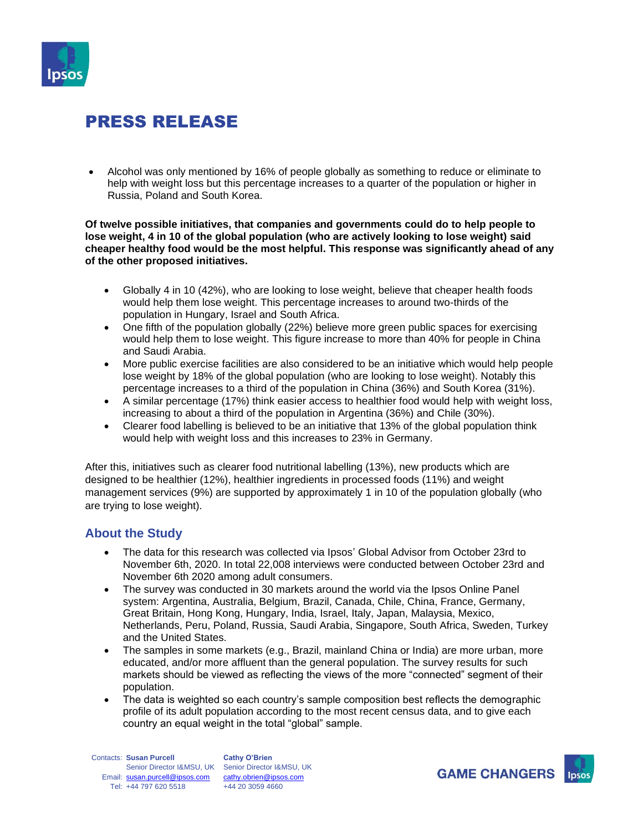

# PRESS RELEASE

• Alcohol was only mentioned by 16% of people globally as something to reduce or eliminate to help with weight loss but this percentage increases to a quarter of the population or higher in Russia, Poland and South Korea.

**Of twelve possible initiatives, that companies and governments could do to help people to lose weight, 4 in 10 of the global population (who are actively looking to lose weight) said cheaper healthy food would be the most helpful. This response was significantly ahead of any of the other proposed initiatives.** 

- Globally 4 in 10 (42%), who are looking to lose weight, believe that cheaper health foods would help them lose weight. This percentage increases to around two-thirds of the population in Hungary, Israel and South Africa.
- One fifth of the population globally (22%) believe more green public spaces for exercising would help them to lose weight. This figure increase to more than 40% for people in China and Saudi Arabia.
- More public exercise facilities are also considered to be an initiative which would help people lose weight by 18% of the global population (who are looking to lose weight). Notably this percentage increases to a third of the population in China (36%) and South Korea (31%).
- A similar percentage (17%) think easier access to healthier food would help with weight loss, increasing to about a third of the population in Argentina (36%) and Chile (30%).
- Clearer food labelling is believed to be an initiative that 13% of the global population think would help with weight loss and this increases to 23% in Germany.

After this, initiatives such as clearer food nutritional labelling (13%), new products which are designed to be healthier (12%), healthier ingredients in processed foods (11%) and weight management services (9%) are supported by approximately 1 in 10 of the population globally (who are trying to lose weight).

### **About the Study**

- The data for this research was collected via Ipsos' Global Advisor from October 23rd to November 6th, 2020. In total 22,008 interviews were conducted between October 23rd and November 6th 2020 among adult consumers.
- The survey was conducted in 30 markets around the world via the Ipsos Online Panel system: Argentina, Australia, Belgium, Brazil, Canada, Chile, China, France, Germany, Great Britain, Hong Kong, Hungary, India, Israel, Italy, Japan, Malaysia, Mexico, Netherlands, Peru, Poland, Russia, Saudi Arabia, Singapore, South Africa, Sweden, Turkey and the United States.
- The samples in some markets (e.g., Brazil, mainland China or India) are more urban, more educated, and/or more affluent than the general population. The survey results for such markets should be viewed as reflecting the views of the more "connected" segment of their population.
- The data is weighted so each country's sample composition best reflects the demographic profile of its adult population according to the most recent census data, and to give each country an equal weight in the total "global" sample.